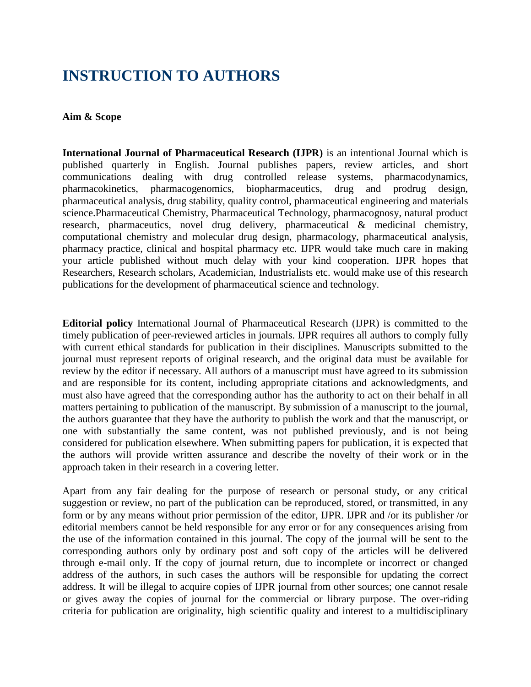# **INSTRUCTION TO AUTHORS**

## **Aim & Scope**

**International Journal of Pharmaceutical Research (IJPR)** is an intentional Journal which is published quarterly in English. Journal publishes papers, review articles, and short communications dealing with drug controlled release systems, pharmacodynamics, pharmacokinetics, pharmacogenomics, biopharmaceutics, drug and prodrug design, pharmaceutical analysis, drug stability, quality control, pharmaceutical engineering and materials science.Pharmaceutical Chemistry, Pharmaceutical Technology, pharmacognosy, natural product research, pharmaceutics, novel drug delivery, pharmaceutical & medicinal chemistry, computational chemistry and molecular drug design, pharmacology, pharmaceutical analysis, pharmacy practice, clinical and hospital pharmacy etc. IJPR would take much care in making your article published without much delay with your kind cooperation. IJPR hopes that Researchers, Research scholars, Academician, Industrialists etc. would make use of this research publications for the development of pharmaceutical science and technology.

**Editorial policy** International Journal of Pharmaceutical Research (IJPR) is committed to the timely publication of peer-reviewed articles in journals. IJPR requires all authors to comply fully with current ethical standards for publication in their disciplines. Manuscripts submitted to the journal must represent reports of original research, and the original data must be available for review by the editor if necessary. All authors of a manuscript must have agreed to its submission and are responsible for its content, including appropriate citations and acknowledgments, and must also have agreed that the corresponding author has the authority to act on their behalf in all matters pertaining to publication of the manuscript. By submission of a manuscript to the journal, the authors guarantee that they have the authority to publish the work and that the manuscript, or one with substantially the same content, was not published previously, and is not being considered for publication elsewhere. When submitting papers for publication, it is expected that the authors will provide written assurance and describe the novelty of their work or in the approach taken in their research in a covering letter.

Apart from any fair dealing for the purpose of research or personal study, or any critical suggestion or review, no part of the publication can be reproduced, stored, or transmitted, in any form or by any means without prior permission of the editor, IJPR. IJPR and /or its publisher /or editorial members cannot be held responsible for any error or for any consequences arising from the use of the information contained in this journal. The copy of the journal will be sent to the corresponding authors only by ordinary post and soft copy of the articles will be delivered through e-mail only. If the copy of journal return, due to incomplete or incorrect or changed address of the authors, in such cases the authors will be responsible for updating the correct address. It will be illegal to acquire copies of IJPR journal from other sources; one cannot resale or gives away the copies of journal for the commercial or library purpose. The over-riding criteria for publication are originality, high scientific quality and interest to a multidisciplinary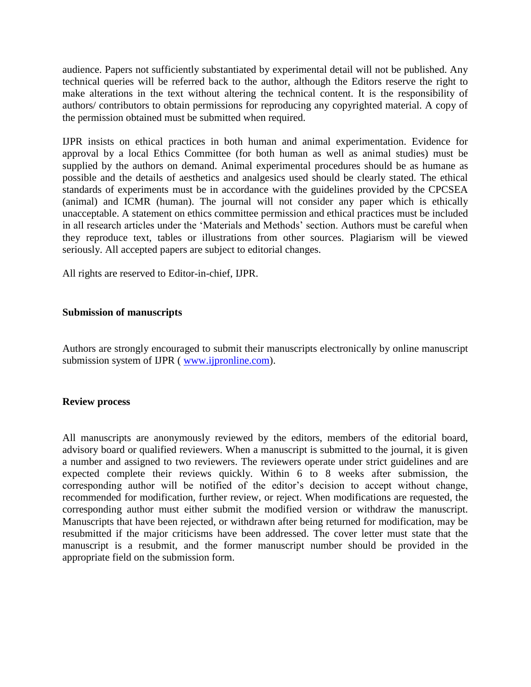audience. Papers not sufficiently substantiated by experimental detail will not be published. Any technical queries will be referred back to the author, although the Editors reserve the right to make alterations in the text without altering the technical content. It is the responsibility of authors/ contributors to obtain permissions for reproducing any copyrighted material. A copy of the permission obtained must be submitted when required.

IJPR insists on ethical practices in both human and animal experimentation. Evidence for approval by a local Ethics Committee (for both human as well as animal studies) must be supplied by the authors on demand. Animal experimental procedures should be as humane as possible and the details of aesthetics and analgesics used should be clearly stated. The ethical standards of experiments must be in accordance with the guidelines provided by the CPCSEA (animal) and ICMR (human). The journal will not consider any paper which is ethically unacceptable. A statement on ethics committee permission and ethical practices must be included in all research articles under the "Materials and Methods" section. Authors must be careful when they reproduce text, tables or illustrations from other sources. Plagiarism will be viewed seriously. All accepted papers are subject to editorial changes.

All rights are reserved to Editor-in-chief, IJPR.

## **Submission of manuscripts**

Authors are strongly encouraged to submit their manuscripts electronically by online manuscript submission system of IJPR (www.ijpronline.com).

#### **Review process**

All manuscripts are anonymously reviewed by the editors, members of the editorial board, advisory board or qualified reviewers. When a manuscript is submitted to the journal, it is given a number and assigned to two reviewers. The reviewers operate under strict guidelines and are expected complete their reviews quickly. Within 6 to 8 weeks after submission, the corresponding author will be notified of the editor's decision to accept without change, recommended for modification, further review, or reject. When modifications are requested, the corresponding author must either submit the modified version or withdraw the manuscript. Manuscripts that have been rejected, or withdrawn after being returned for modification, may be resubmitted if the major criticisms have been addressed. The cover letter must state that the manuscript is a resubmit, and the former manuscript number should be provided in the appropriate field on the submission form.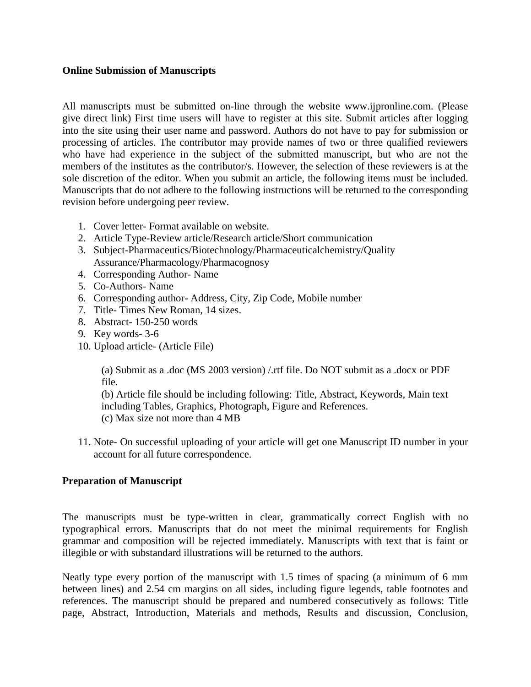# **Online Submission of Manuscripts**

All manuscripts must be submitted on-line through the website www.ijpronline.com. (Please give direct link) First time users will have to register at this site. Submit articles after logging into the site using their user name and password. Authors do not have to pay for submission or processing of articles. The contributor may provide names of two or three qualified reviewers who have had experience in the subject of the submitted manuscript, but who are not the members of the institutes as the contributor/s. However, the selection of these reviewers is at the sole discretion of the editor. When you submit an article, the following items must be included. Manuscripts that do not adhere to the following instructions will be returned to the corresponding revision before undergoing peer review.

- 1. Cover letter- Format available on website.
- 2. Article Type-Review article/Research article/Short communication
- 3. Subject-Pharmaceutics/Biotechnology/Pharmaceuticalchemistry/Quality Assurance/Pharmacology/Pharmacognosy
- 4. Corresponding Author- Name
- 5. Co-Authors- Name
- 6. Corresponding author- Address, City, Zip Code, Mobile number
- 7. Title- Times New Roman, 14 sizes.
- 8. Abstract- 150-250 words
- 9. Key words- 3-6
- 10. Upload article- (Article File)

(a) Submit as a .doc (MS 2003 version) /.rtf file. Do NOT submit as a .docx or PDF file.

(b) Article file should be including following: Title, Abstract, Keywords, Main text including Tables, Graphics, Photograph, Figure and References. (c) Max size not more than 4 MB

11. Note- On successful uploading of your article will get one Manuscript ID number in your account for all future correspondence.

# **Preparation of Manuscript**

The manuscripts must be type-written in clear, grammatically correct English with no typographical errors. Manuscripts that do not meet the minimal requirements for English grammar and composition will be rejected immediately. Manuscripts with text that is faint or illegible or with substandard illustrations will be returned to the authors.

Neatly type every portion of the manuscript with 1.5 times of spacing (a minimum of 6 mm between lines) and 2.54 cm margins on all sides, including figure legends, table footnotes and references. The manuscript should be prepared and numbered consecutively as follows: Title page, Abstract, Introduction, Materials and methods, Results and discussion, Conclusion,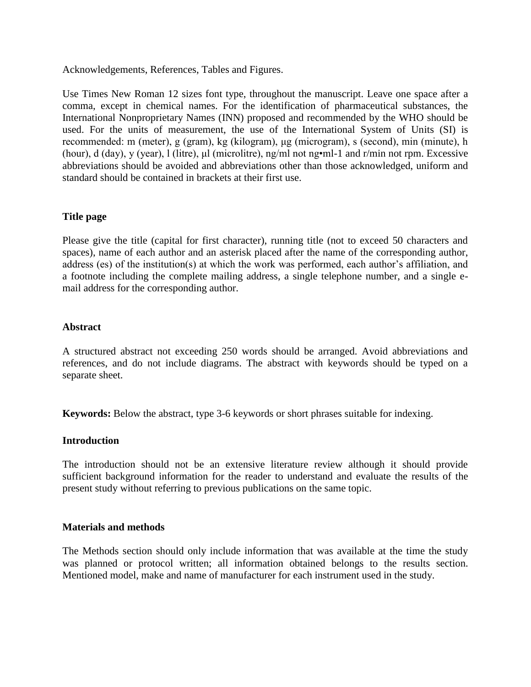Acknowledgements, References, Tables and Figures.

Use Times New Roman 12 sizes font type, throughout the manuscript. Leave one space after a comma, except in chemical names. For the identification of pharmaceutical substances, the International Nonproprietary Names (INN) proposed and recommended by the WHO should be used. For the units of measurement, the use of the International System of Units (SI) is recommended: m (meter), g (gram), kg (kilogram), μg (microgram), s (second), min (minute), h (hour), d (day), y (year), l (litre), μl (microlitre), ng/ml not ng•ml-1 and r/min not rpm. Excessive abbreviations should be avoided and abbreviations other than those acknowledged, uniform and standard should be contained in brackets at their first use.

# **Title page**

Please give the title (capital for first character), running title (not to exceed 50 characters and spaces), name of each author and an asterisk placed after the name of the corresponding author, address (es) of the institution(s) at which the work was performed, each author's affiliation, and a footnote including the complete mailing address, a single telephone number, and a single email address for the corresponding author.

# **Abstract**

A structured abstract not exceeding 250 words should be arranged. Avoid abbreviations and references, and do not include diagrams. The abstract with keywords should be typed on a separate sheet.

**Keywords:** Below the abstract, type 3-6 keywords or short phrases suitable for indexing.

# **Introduction**

The introduction should not be an extensive literature review although it should provide sufficient background information for the reader to understand and evaluate the results of the present study without referring to previous publications on the same topic.

# **Materials and methods**

The Methods section should only include information that was available at the time the study was planned or protocol written; all information obtained belongs to the results section. Mentioned model, make and name of manufacturer for each instrument used in the study.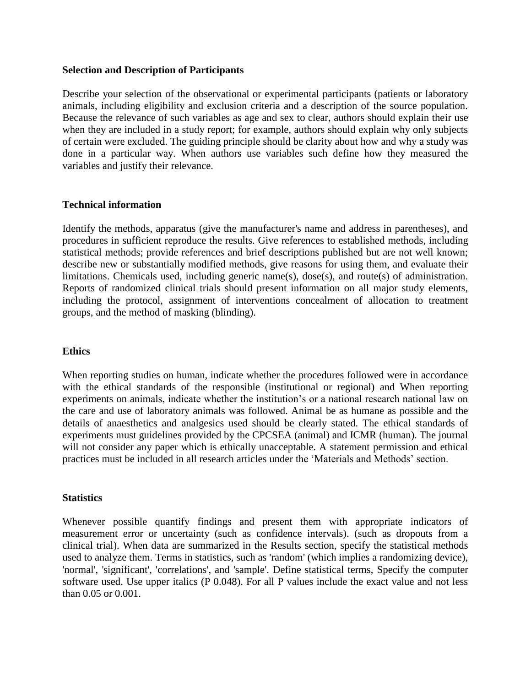## **Selection and Description of Participants**

Describe your selection of the observational or experimental participants (patients or laboratory animals, including eligibility and exclusion criteria and a description of the source population. Because the relevance of such variables as age and sex to clear, authors should explain their use when they are included in a study report; for example, authors should explain why only subjects of certain were excluded. The guiding principle should be clarity about how and why a study was done in a particular way. When authors use variables such define how they measured the variables and justify their relevance.

# **Technical information**

Identify the methods, apparatus (give the manufacturer's name and address in parentheses), and procedures in sufficient reproduce the results. Give references to established methods, including statistical methods; provide references and brief descriptions published but are not well known; describe new or substantially modified methods, give reasons for using them, and evaluate their limitations. Chemicals used, including generic name(s), dose(s), and route(s) of administration. Reports of randomized clinical trials should present information on all major study elements, including the protocol, assignment of interventions concealment of allocation to treatment groups, and the method of masking (blinding).

# **Ethics**

When reporting studies on human, indicate whether the procedures followed were in accordance with the ethical standards of the responsible (institutional or regional) and When reporting experiments on animals, indicate whether the institution"s or a national research national law on the care and use of laboratory animals was followed. Animal be as humane as possible and the details of anaesthetics and analgesics used should be clearly stated. The ethical standards of experiments must guidelines provided by the CPCSEA (animal) and ICMR (human). The journal will not consider any paper which is ethically unacceptable. A statement permission and ethical practices must be included in all research articles under the "Materials and Methods" section.

#### **Statistics**

Whenever possible quantify findings and present them with appropriate indicators of measurement error or uncertainty (such as confidence intervals). (such as dropouts from a clinical trial). When data are summarized in the Results section, specify the statistical methods used to analyze them. Terms in statistics, such as 'random' (which implies a randomizing device), 'normal', 'significant', 'correlations', and 'sample'. Define statistical terms, Specify the computer software used. Use upper italics (P 0.048). For all P values include the exact value and not less than 0.05 or 0.001.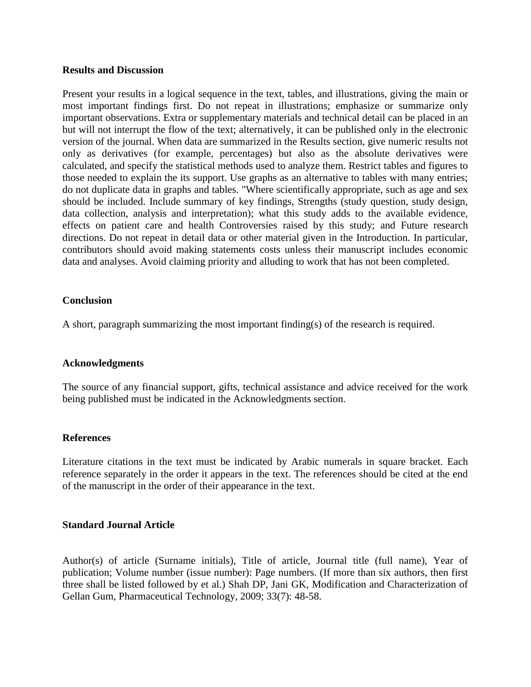## **Results and Discussion**

Present your results in a logical sequence in the text, tables, and illustrations, giving the main or most important findings first. Do not repeat in illustrations; emphasize or summarize only important observations. Extra or supplementary materials and technical detail can be placed in an but will not interrupt the flow of the text; alternatively, it can be published only in the electronic version of the journal. When data are summarized in the Results section, give numeric results not only as derivatives (for example, percentages) but also as the absolute derivatives were calculated, and specify the statistical methods used to analyze them. Restrict tables and figures to those needed to explain the its support. Use graphs as an alternative to tables with many entries; do not duplicate data in graphs and tables. "Where scientifically appropriate, such as age and sex should be included. Include summary of key findings, Strengths (study question, study design, data collection, analysis and interpretation); what this study adds to the available evidence, effects on patient care and health Controversies raised by this study; and Future research directions. Do not repeat in detail data or other material given in the Introduction. In particular, contributors should avoid making statements costs unless their manuscript includes economic data and analyses. Avoid claiming priority and alluding to work that has not been completed.

# **Conclusion**

A short, paragraph summarizing the most important finding(s) of the research is required.

# **Acknowledgments**

The source of any financial support, gifts, technical assistance and advice received for the work being published must be indicated in the Acknowledgments section.

# **References**

Literature citations in the text must be indicated by Arabic numerals in square bracket. Each reference separately in the order it appears in the text. The references should be cited at the end of the manuscript in the order of their appearance in the text.

#### **Standard Journal Article**

Author(s) of article (Surname initials), Title of article, Journal title (full name), Year of publication; Volume number (issue number): Page numbers. (If more than six authors, then first three shall be listed followed by et al.) Shah DP, Jani GK, Modification and Characterization of Gellan Gum, Pharmaceutical Technology, 2009; 33(7): 48-58.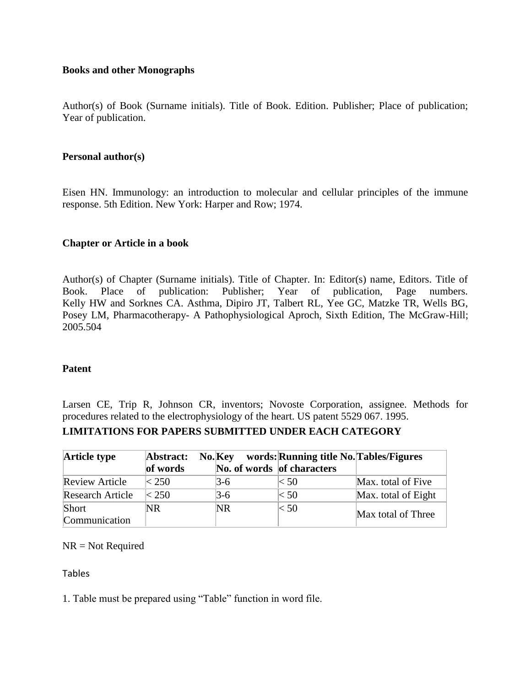# **Books and other Monographs**

Author(s) of Book (Surname initials). Title of Book. Edition. Publisher; Place of publication; Year of publication.

## **Personal author(s)**

Eisen HN. Immunology: an introduction to molecular and cellular principles of the immune response. 5th Edition. New York: Harper and Row; 1974.

# **Chapter or Article in a book**

Author(s) of Chapter (Surname initials). Title of Chapter. In: Editor(s) name, Editors. Title of Book. Place of publication: Publisher; Year of publication, Page numbers. Kelly HW and Sorknes CA. Asthma, Dipiro JT, Talbert RL, Yee GC, Matzke TR, Wells BG, Posey LM, Pharmacotherapy- A Pathophysiological Aproch, Sixth Edition, The McGraw-Hill; 2005.504

## **Patent**

Larsen CE, Trip R, Johnson CR, inventors; Novoste Corporation, assignee. Methods for procedures related to the electrophysiology of the heart. US patent 5529 067. 1995. **LIMITATIONS FOR PAPERS SUBMITTED UNDER EACH CATEGORY** 

| <b>Article type</b>     | Abstract:<br>of words | No. Key<br>No. of words of characters | words: Running title No. Tables/Figures |                     |
|-------------------------|-----------------------|---------------------------------------|-----------------------------------------|---------------------|
| <b>Review Article</b>   | $\approx$ 250         | 3-6                                   | < 50                                    | Max. total of Five  |
| <b>Research Article</b> | < 250                 | 3-6                                   | < 50                                    | Max. total of Eight |
| Short                   | 'NR                   | NR                                    | $<$ 50                                  | Max total of Three  |
| Communication           |                       |                                       |                                         |                     |

NR = Not Required

Tables

1. Table must be prepared using "Table" function in word file.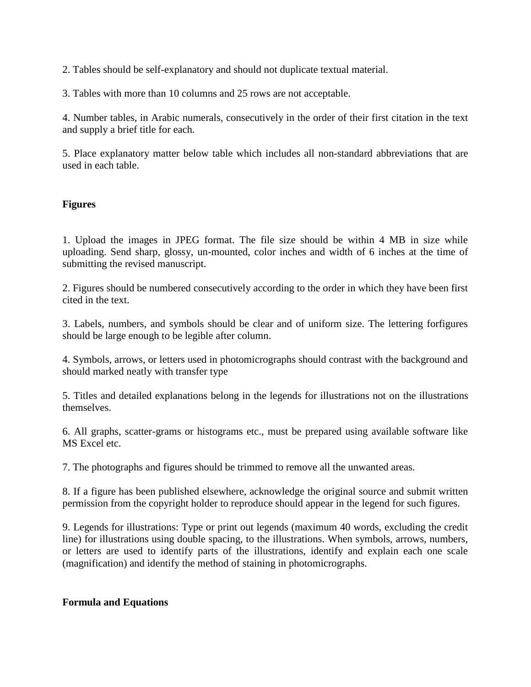2. Tables should be self-explanatory and should not duplicate textual material.

3. Tables with more than 10 columns and 25 rows are not acceptable.

4. Number tables, in Arabic numerals, consecutively in the order of their first citation in the text and supply a brief title for each.

5. Place explanatory matter below table which includes all non-standard abbreviations that are used in each table.

# **Figures**

1. Upload the images in JPEG format. The file size should be within 4 MB in size while uploading. Send sharp, glossy, un-mounted, color inches and width of 6 inches at the time of submitting the revised manuscript.

2. Figures should be numbered consecutively according to the order in which they have been first cited in the text.

3. Labels, numbers, and symbols should be clear and of uniform size. The lettering forfigures should be large enough to be legible after column.

4. Symbols, arrows, or letters used in photomicrographs should contrast with the background and should marked neatly with transfer type

5. Titles and detailed explanations belong in the legends for illustrations not on the illustrations themselves.

6. All graphs, scatter-grams or histograms etc., must be prepared using available software like MS Excel etc.

7. The photographs and figures should be trimmed to remove all the unwanted areas.

8. If a figure has been published elsewhere, acknowledge the original source and submit written permission from the copyright holder to reproduce should appear in the legend for such figures.

9. Legends for illustrations: Type or print out legends (maximum 40 words, excluding the credit line) for illustrations using double spacing, to the illustrations. When symbols, arrows, numbers, or letters are used to identify parts of the illustrations, identify and explain each one scale (magnification) and identify the method of staining in photomicrographs.

# **Formula and Equations**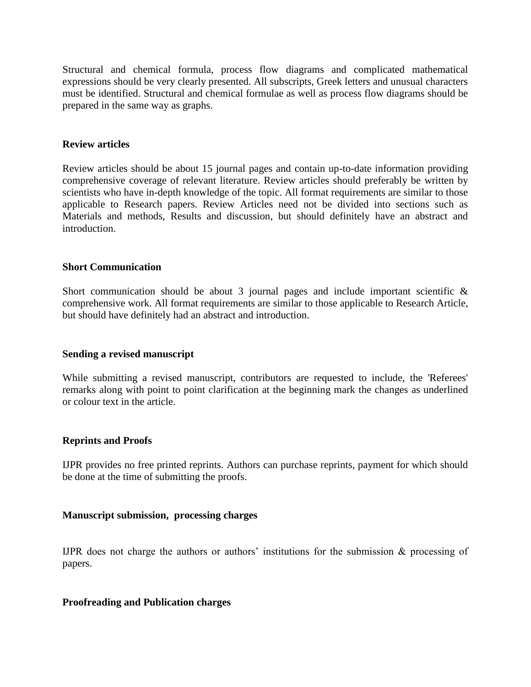Structural and chemical formula, process flow diagrams and complicated mathematical expressions should be very clearly presented. All subscripts, Greek letters and unusual characters must be identified. Structural and chemical formulae as well as process flow diagrams should be prepared in the same way as graphs.

## **Review articles**

Review articles should be about 15 journal pages and contain up-to-date information providing comprehensive coverage of relevant literature. Review articles should preferably be written by scientists who have in-depth knowledge of the topic. All format requirements are similar to those applicable to Research papers. Review Articles need not be divided into sections such as Materials and methods, Results and discussion, but should definitely have an abstract and introduction.

## **Short Communication**

Short communication should be about 3 journal pages and include important scientific  $\&$ comprehensive work. All format requirements are similar to those applicable to Research Article, but should have definitely had an abstract and introduction.

#### **Sending a revised manuscript**

While submitting a revised manuscript, contributors are requested to include, the 'Referees' remarks along with point to point clarification at the beginning mark the changes as underlined or colour text in the article.

# **Reprints and Proofs**

IJPR provides no free printed reprints. Authors can purchase reprints, payment for which should be done at the time of submitting the proofs.

#### **Manuscript submission, processing charges**

IJPR does not charge the authors or authors' institutions for the submission  $\&$  processing of papers.

#### **Proofreading and Publication charges**